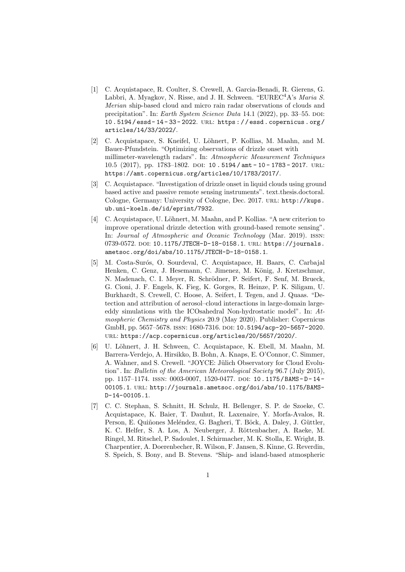- [1] C. Acquistapace, R. Coulter, S. Crewell, A. Garcia-Benadi, R. Gierens, G. Labbri, A. Myagkov, N. Risse, and J. H. Schween. "EUREC<sup>4</sup>A's *Maria S.* Merian ship-based cloud and micro rain radar observations of clouds and precipitation". In: Earth System Science Data 14.1 (2022), pp. 33-55. DOI: 10 . 5194 / essd - 14 - 33 - 2022. url: https : / / essd . copernicus . org / articles/14/33/2022/.
- [2] C. Acquistapace, S. Kneifel, U. Löhnert, P. Kollias, M. Maahn, and M. Bauer-Pfundstein. "Optimizing observations of drizzle onset with millimeter-wavelength radars". In: Atmospheric Measurement Techniques 10.5 (2017), pp. 1783–1802. DOI: 10 . 5194 / amt - 10 - 1783 - 2017. URL: https://amt.copernicus.org/articles/10/1783/2017/.
- [3] C. Acquistapace. "Investigation of drizzle onset in liquid clouds using ground based active and passive remote sensing instruments". text.thesis.doctoral. Cologne, Germany: University of Cologne, Dec. 2017. URL: http://kups. ub.uni-koeln.de/id/eprint/7932.
- [4] C. Acquistapace, U. Löhnert, M. Maahn, and P. Kollias. "A new criterion to improve operational drizzle detection with ground-based remote sensing". In: Journal of Atmospheric and Oceanic Technology (Mar. 2019). issn: 0739-0572. DOI: 10.1175/JTECH-D-18-0158.1. URL: https://journals. ametsoc.org/doi/abs/10.1175/JTECH-D-18-0158.1.
- [5] M. Costa-Surós, O. Sourdeval, C. Acquistapace, H. Baars, C. Carbajal Henken, C. Genz, J. Hesemann, C. Jimenez, M. König, J. Kretzschmar, N. Madenach, C. I. Meyer, R. Schrödner, P. Seifert, F. Senf, M. Brueck, G. Cioni, J. F. Engels, K. Fieg, K. Gorges, R. Heinze, P. K. Siligam, U. Burkhardt, S. Crewell, C. Hoose, A. Seifert, I. Tegen, and J. Quaas. "Detection and attribution of aerosol–cloud interactions in large-domain largeeddy simulations with the ICOsahedral Non-hydrostatic model". In: Atmospheric Chemistry and Physics 20.9 (May 2020). Publisher: Copernicus GmbH, pp. 5657-5678. ISSN: 1680-7316. DOI: 10.5194/acp-20-5657-2020. url: https://acp.copernicus.org/articles/20/5657/2020/.
- [6] U. L¨ohnert, J. H. Schween, C. Acquistapace, K. Ebell, M. Maahn, M. Barrera-Verdejo, A. Hirsikko, B. Bohn, A. Knaps, E. O'Connor, C. Simmer, A. Wahner, and S. Crewell. "JOYCE: Jülich Observatory for Cloud Evolution". In: Bulletin of the American Meteorological Society 96.7 (July 2015), pp. 1157–1174. ISSN: 0003-0007, 1520-0477. pol: 10.1175/BAMS-D-14-00105.1. URL: http://journals.ametsoc.org/doi/abs/10.1175/BAMS-D-14-00105.1.
- [7] C. C. Stephan, S. Schnitt, H. Schulz, H. Bellenger, S. P. de Szoeke, C. Acquistapace, K. Baier, T. Dauhut, R. Laxenaire, Y. Morfa-Avalos, R. Person, E. Quiñones Meléndez, G. Bagheri, T. Böck, A. Daley, J. Güttler, K. C. Helfer, S. A. Los, A. Neuberger, J. Röttenbacher, A. Raeke, M. Ringel, M. Ritschel, P. Sadoulet, I. Schirmacher, M. K. Stolla, E. Wright, B. Charpentier, A. Doerenbecher, R. Wilson, F. Jansen, S. Kinne, G. Reverdin, S. Speich, S. Bony, and B. Stevens. "Ship- and island-based atmospheric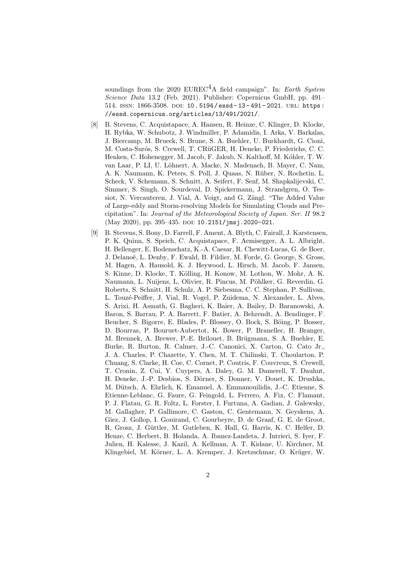soundings from the 2020 EUREC<sup>4</sup>A field campaign". In: Earth System Science Data 13.2 (Feb. 2021). Publisher: Copernicus GmbH, pp. 491– 514. ISSN: 1866-3508. DOI: 10.5194/essd-13-491-2021. URL: https: //essd.copernicus.org/articles/13/491/2021/.

- [8] B. Stevens, C. Acquistapace, A. Hansen, R. Heinze, C. Klinger, D. Klocke, H. Rybka, W. Schubotz, J. Windmiller, P. Adamidis, I. Arka, V. Barkalas, J. Biercamp, M. Brueck, S. Brune, S. A. Buehler, U. Burkhardt, G. Cioni, M. Costa-Surós, S. Crewell, T. CRüGER, H. Deneke, P. Friederichs, C. C. Henken, C. Hohenegger, M. Jacob, F. Jakub, N. Kalthoff, M. Kóhler, T. W. van Laar, P. LI, U. Löhnert, A. Macke, N. Madenach, B. Mayer, C. Nam. A. K. Naumann, K. Peters, S. Poll, J. Quaas, N. Rüber, N. Rochetin, L. Scheck, V. Schemann, S. Schnitt, A. Seifert, F. Senf, M. Shapkalijevski, C. Simmer, S. Singh, O. Sourdeval, D. Spickermann, J. Strandgren, O. Tessiot, N. Vercauteren, J. Vial, A. Voigt, and G. Zängl. "The Added Value of Large-eddy and Storm-resolving Models for Simulating Clouds and Precipitation". In: Journal of the Meteorological Society of Japan. Ser. II 98.2 (May 2020), pp. 395-435. DOI: 10.2151/jmsj.2020-021.
- [9] B. Stevens, S. Bony, D. Farrell, F. Ament, A. Blyth, C. Fairall, J. Karstensen, P. K. Quinn, S. Speich, C. Acquistapace, F. Aemisegger, A. L. Albright, H. Bellenger, E. Bodenschatz, K.-A. Caesar, R. Chewitt-Lucas, G. de Boer, J. Delanoë, L. Denby, F. Ewald, B. Fildier, M. Forde, G. George, S. Gross, M. Hagen, A. Hausold, K. J. Heywood, L. Hirsch, M. Jacob, F. Jansen, S. Kinne, D. Klocke, T. Kölling, H. Konow, M. Lothon, W. Mohr, A. K. Naumann, L. Nuijens, L. Olivier, R. Pincus, M. Pöhlker, G. Reverdin, G. Roberts, S. Schnitt, H. Schulz, A. P. Siebesma, C. C. Stephan, P. Sullivan, L. Touzé-Peiffer, J. Vial, R. Vogel, P. Zuidema, N. Alexander, L. Alves, S. Arixi, H. Asmath, G. Bagheri, K. Baier, A. Bailey, D. Baranowski, A. Baron, S. Barrau, P. A. Barrett, F. Batier, A. Behrendt, A. Bendinger, F. Beucher, S. Bigorre, E. Blades, P. Blossey, O. Bock, S. Böing, P. Bosser, D. Bourras, P. Bouruet-Aubertot, K. Bower, P. Branellec, H. Branger, M. Brennek, A. Brewer, P.-E. Brilouet, B. Brügmann, S. A. Buehler, E. Burke, R. Burton, R. Calmer, J.-C. Canonici, X. Carton, G. Cato Jr., J. A. Charles, P. Chazette, Y. Chen, M. T. Chilinski, T. Choularton, P. Chuang, S. Clarke, H. Coe, C. Cornet, P. Coutris, F. Couvreux, S. Crewell, T. Cronin, Z. Cui, Y. Cuypers, A. Daley, G. M. Damerell, T. Dauhut, H. Deneke, J.-P. Desbios, S. Dörner, S. Donner, V. Douet, K. Drushka, M. Dütsch, A. Ehrlich, K. Emanuel, A. Emmanouilidis, J.-C. Etienne, S. Etienne-Leblanc, G. Faure, G. Feingold, L. Ferrero, A. Fix, C. Flamant, P. J. Flatau, G. R. Foltz, L. Forster, I. Furtuna, A. Gadian, J. Galewsky, M. Gallagher, P. Gallimore, C. Gaston, C. Gentemann, N. Geyskens, A. Giez, J. Gollop, I. Gouirand, C. Gourbeyre, D. de Graaf, G. E. de Groot, R. Grosz, J. Güttler, M. Gutleben, K. Hall, G. Harris, K. C. Helfer, D. Henze, C. Herbert, B. Holanda, A. Ibanez-Landeta, J. Intrieri, S. Iyer, F. Julien, H. Kalesse, J. Kazil, A. Kellman, A. T. Kidane, U. Kirchner, M. Klingebiel, M. Körner, L. A. Kremper, J. Kretzschmar, O. Krüger, W.